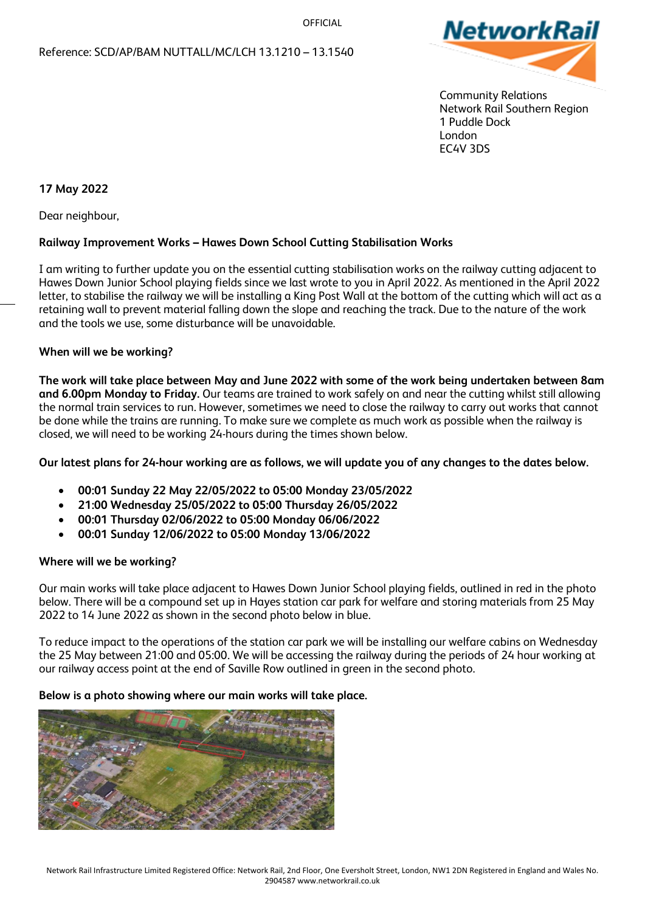**OFFICIAL** 



 Community Relations Network Rail Southern Region 1 Puddle Dock London EC4V 3DS

# **17 May 2022**

Dear neighbour,

## **Railway Improvement Works – Hawes Down School Cutting Stabilisation Works**

I am writing to further update you on the essential cutting stabilisation works on the railway cutting adjacent to Hawes Down Junior School playing fields since we last wrote to you in April 2022. As mentioned in the April 2022 letter, to stabilise the railway we will be installing a King Post Wall at the bottom of the cutting which will act as a retaining wall to prevent material falling down the slope and reaching the track. Due to the nature of the work and the tools we use, some disturbance will be unavoidable.

### **When will we be working?**

**The work will take place between May and June 2022 with some of the work being undertaken between 8am and 6.00pm Monday to Friday.** Our teams are trained to work safely on and near the cutting whilst still allowing the normal train services to run. However, sometimes we need to close the railway to carry out works that cannot be done while the trains are running. To make sure we complete as much work as possible when the railway is closed, we will need to be working 24-hours during the times shown below.

## **Our latest plans for 24-hour working are as follows, we will update you of any changes to the dates below.**

- **00:01 Sunday 22 May 22/05/2022 to 05:00 Monday 23/05/2022**
- **21:00 Wednesday 25/05/2022 to 05:00 Thursday 26/05/2022**
- **00:01 Thursday 02/06/2022 to 05:00 Monday 06/06/2022**
- **00:01 Sunday 12/06/2022 to 05:00 Monday 13/06/2022**

## **Where will we be working?**

Our main works will take place adjacent to Hawes Down Junior School playing fields, outlined in red in the photo below. There will be a compound set up in Hayes station car park for welfare and storing materials from 25 May 2022 to 14 June 2022 as shown in the second photo below in blue.

To reduce impact to the operations of the station car park we will be installing our welfare cabins on Wednesday the 25 May between 21:00 and 05:00. We will be accessing the railway during the periods of 24 hour working at our railway access point at the end of Saville Row outlined in green in the second photo.

#### **Below is a photo showing where our main works will take place.**

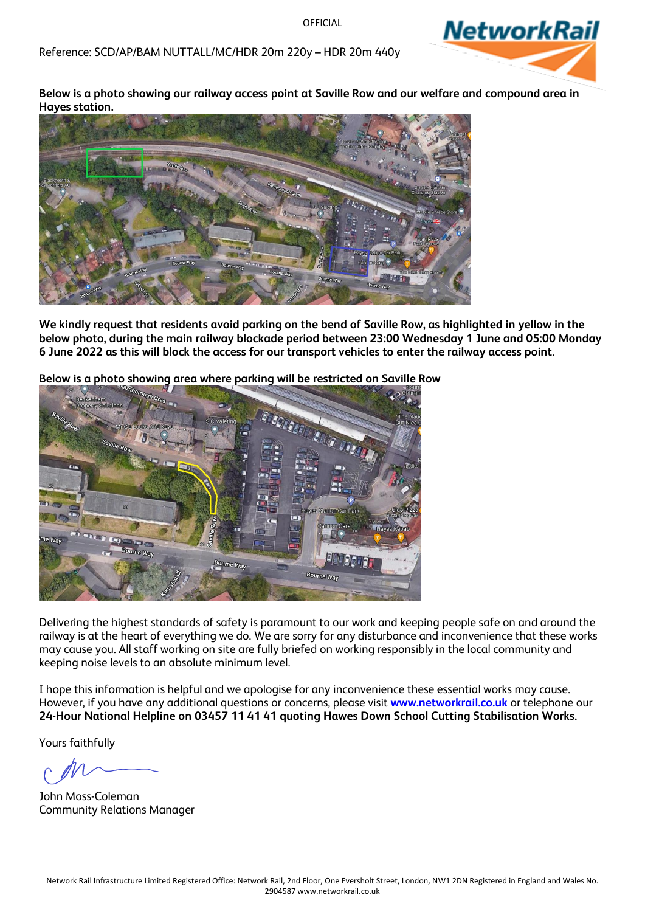Reference: SCD/AP/BAM NUTTALL/MC/HDR 20m 220y – HDR 20m 440y



**Below is a photo showing our railway access point at Saville Row and our welfare and compound area in Hayes station.**



**We kindly request that residents avoid parking on the bend of Saville Row, as highlighted in yellow in the below photo, during the main railway blockade period between 23:00 Wednesday 1 June and 05:00 Monday 6 June 2022 as this will block the access for our transport vehicles to enter the railway access point**.

**Below is a photo showing area where parking will be restricted on Saville Row**



Delivering the highest standards of safety is paramount to our work and keeping people safe on and around the railway is at the heart of everything we do. We are sorry for any disturbance and inconvenience that these works may cause you. All staff working on site are fully briefed on working responsibly in the local community and keeping noise levels to an absolute minimum level.

I hope this information is helpful and we apologise for any inconvenience these essential works may cause. However, if you have any additional questions or concerns, please visit **[www.networkrail.co.uk](http://www.networkrail.co.uk/)** or telephone our **24-Hour National Helpline on 03457 11 41 41 quoting Hawes Down School Cutting Stabilisation Works.**

Yours faithfully

John Moss-Coleman Community Relations Manager